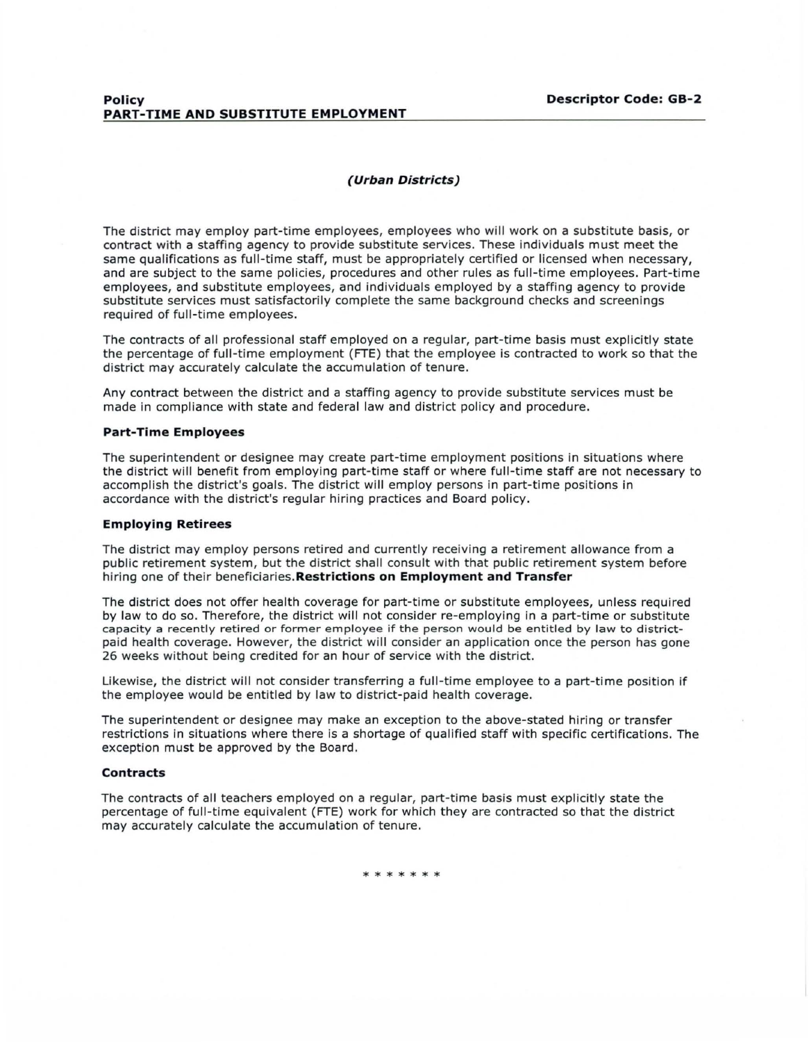# **Policy Descriptor Code: GB-2 PART-TIME AND SUBSTITUTE EMPLOYMENT**

## **(Urban Districts)**

The district may employ part-time employees, employees who will work on a substitute basis, or contract with a staffing agency to provide substitute services. These individuals must meet the same qualifications as full-time staff, must be appropriately certified or licensed when necessary, and are subject to the same policies, procedures and other rules as full-time employees. Part-time employees, and substitute employees, and individuals employed by a staffing agency to provide substitute services must satisfactorily complete the same background checks and screenings required of full-time employees.

The contracts of all professional staff employed on a regular, part-time basis must explicitly state the percentage of full-time employment (FTE) that the employee is contracted to work so that the district may accurately calculate the accumulation of tenure.

Any contract between the district and a staffing agency to provide substitute services must be made in compliance with state and federal law and district policy and procedure.

## **Part-Time Employees**

The superintendent or designee may create part-time employment positions in situations where the district will benefit from employing part-time staff or where full-time staff are not necessary to accomplish the district's goals. The district will employ persons in part-time positions in accordance with the district's regular hiring practices and Board policy.

#### **Employing Retirees**

The district may employ persons retired and currently receiving a retirement allowance from a public retirement system, but the district shall consult with that public retirement system before hiring one of their **beneficiaries.Restrictions on Employment and Transfer** 

The district does not offer health coverage for part-time or substitute employees, unless required by law to do so. Therefore, the district will not consider re-employing in a part-time or substitute capacity a recently retired or former employee if the person would be entitled by law to districtpaid health coverage. However, the district will consider an application once the person has gone 26 weeks without being credited for an hour of service with the district.

Likewise, the district will not consider transferring a full-time employee to a part-time position if the employee would be entitled by law to district-paid health coverage.

The superintendent or designee may make an exception to the above-stated hiring or transfer restrictions in situations where there is a shortage of qualified staff with specific certifications. The exception must be approved by the Board.

#### **Contracts**

The contracts of all teachers employed on a regular, part-time basis must explicitly state the percentage of full-time equivalent (FTE) work for which they are contracted so that the district may accurately calculate the accumulation of tenure.

\* \* \* \* \* \*